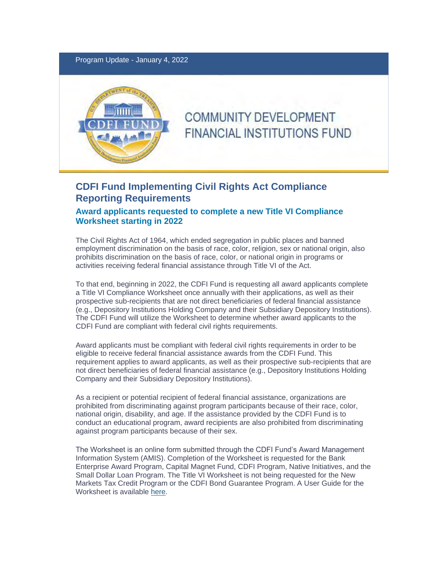Program Update - January 4, 2022



# **COMMUNITY DEVELOPMENT FINANCIAL INSTITUTIONS FUND**

## **CDFI Fund Implementing Civil Rights Act Compliance Reporting Requirements**

### **Award applicants requested to complete a new Title VI Compliance Worksheet starting in 2022**

The Civil Rights Act of 1964, which ended segregation in public places and banned employment discrimination on the basis of race, color, religion, sex or national origin, also prohibits discrimination on the basis of race, color, or national origin in programs or activities receiving federal financial assistance through Title VI of the Act.

To that end, beginning in 2022, the CDFI Fund is requesting all award applicants complete a Title VI Compliance Worksheet once annually with their applications, as well as their prospective sub-recipients that are not direct beneficiaries of federal financial assistance (e.g., Depository Institutions Holding Company and their Subsidiary Depository Institutions). The CDFI Fund will utilize the Worksheet to determine whether award applicants to the CDFI Fund are compliant with federal civil rights requirements.

Award applicants must be compliant with federal civil rights requirements in order to be eligible to receive federal financial assistance awards from the CDFI Fund. This requirement applies to award applicants, as well as their prospective sub-recipients that are not direct beneficiaries of federal financial assistance (e.g., Depository Institutions Holding Company and their Subsidiary Depository Institutions).

As a recipient or potential recipient of federal financial assistance, organizations are prohibited from discriminating against program participants because of their race, color, national origin, disability, and age. If the assistance provided by the CDFI Fund is to conduct an educational program, award recipients are also prohibited from discriminating against program participants because of their sex.

The Worksheet is an online form submitted through the CDFI Fund's Award Management Information System (AMIS). Completion of the Worksheet is requested for the Bank Enterprise Award Program, Capital Magnet Fund, CDFI Program, Native Initiatives, and the Small Dollar Loan Program. The Title VI Worksheet is not being requested for the New Markets Tax Credit Program or the CDFI Bond Guarantee Program. A User Guide for the Worksheet is available [here.](https://urldefense.proofpoint.com/v2/url?u=https-3A__lnks.gd_l_eyJhbGciOiJIUzI1NiJ9.eyJidWxsZXRpbl9saW5rX2lkIjoxMDAsInVyaSI6ImJwMjpjbGljayIsImJ1bGxldGluX2lkIjoiMjAyMjAxMDQuNTEyMjYzOTEiLCJ1cmwiOiJodHRwczovL3d3dy5jZGZpZnVuZC5nb3Yvc2l0ZXMvY2RmaS9maWxlcy8yMDIyLTAxL0NERklGdW5kX1RpdGxlVklfQ29tcGxpYW5jZVdvcmtzaGVldF9VU0VSR1VJREUucGRmIn0.4ABaRXbASq0Pi-5Fs-5FVjz04xw8D4yr-2D3yds3niT-5FM1yMc_s_404201794_br_124102704198-2Dl&d=DwMFAA&c=gGSBJAf-JGrogdopiMdzt0L4gI3tPHkGg5AVRY7A23Y&r=F2ScT9Kmp5heWiPF3GSqBfvZxu6l6JDFGsLxeiv7wRY&m=-0sLysrS7JA0Tnng-nVaIeF3oYW_4QjUndQmzWsAkcQ&s=-OebecDqqL8CzlanPzkNpSPmKgFRp5fNi7LtyrGc64Q&e=)